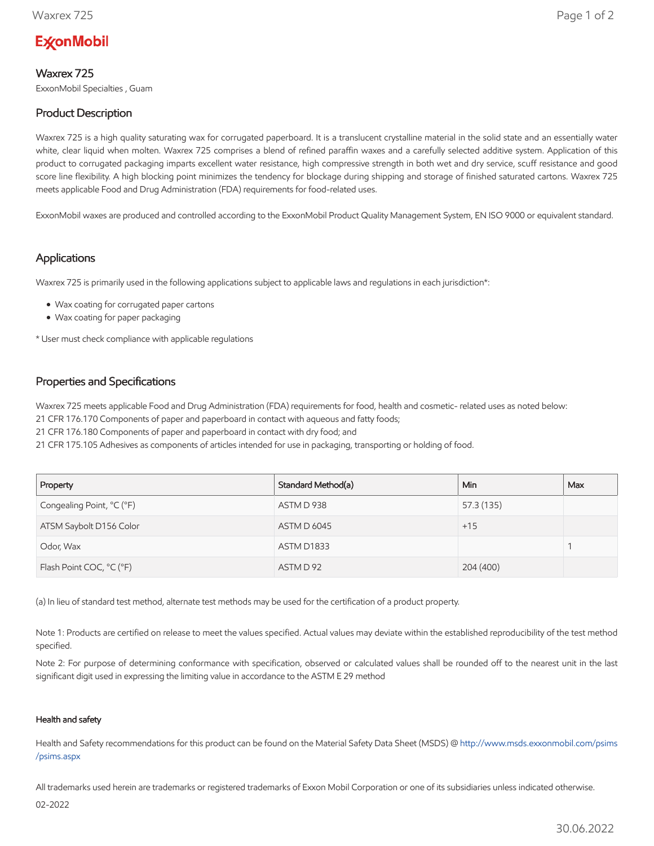# **ExconMobil**

## Waxrex 725

ExxonMobil Specialties , Guam

# Product Description

Waxrex 725 is a high quality saturating wax for corrugated paperboard. It is a translucent crystalline material in the solid state and an essentially water white, clear liquid when molten. Waxrex 725 comprises a blend of refined paraffin waxes and a carefully selected additive system. Application of this product to corrugated packaging imparts excellent water resistance, high compressive strength in both wet and dry service, scuff resistance and good score line flexibility. A high blocking point minimizes the tendency for blockage during shipping and storage of finished saturated cartons. Waxrex 725 meets applicable Food and Drug Administration (FDA) requirements for food-related uses.

ExxonMobil waxes are produced and controlled according to the ExxonMobil Product Quality Management System, EN ISO 9000 or equivalent standard.

### Applications

Waxrex 725 is primarily used in the following applications subject to applicable laws and regulations in each jurisdiction\*:

- Wax coating for corrugated paper cartons
- Wax coating for paper packaging

\* User must check compliance with applicable regulations

### Properties and Specifications

Waxrex 725 meets applicable Food and Drug Administration (FDA) requirements for food, health and cosmetic- related uses as noted below:

21 CFR 176.170 Components of paper and paperboard in contact with aqueous and fatty foods;

21 CFR 176.180 Components of paper and paperboard in contact with dry food; and

21 CFR 175.105 Adhesives as components of articles intended for use in packaging, transporting or holding of food.

| Property                  | Standard Method(a) | Min.       | Max |
|---------------------------|--------------------|------------|-----|
| Congealing Point, °C (°F) | ASTM D 938         | 57.3 (135) |     |
| ATSM Saybolt D156 Color   | <b>ASTM D 6045</b> | $+15$      |     |
| Odor, Wax                 | ASTM D1833         |            |     |
| Flash Point COC, °C (°F)  | ASTM D 92          | 204 (400)  |     |

(a) In lieu of standard test method, alternate test methods may be used for the certification of a product property.

Note 1: Products are certified on release to meet the values specified. Actual values may deviate within the established reproducibility of the test method specified.

Note 2: For purpose of determining conformance with specification, observed or calculated values shall be rounded off to the nearest unit in the last significant digit used in expressing the limiting value in accordance to the ASTM E 29 method

#### Health and safety

Health and Safety recommendations for this product can be found on the Material Safety Data Sheet (MSDS) @ [http://www.msds.exxonmobil.com/psims](http://www.msds.exxonmobil.com/psims/psims.aspx) /psims.aspx

All trademarks used herein are trademarks or registered trademarks of Exxon Mobil Corporation or one of its subsidiaries unless indicated otherwise.